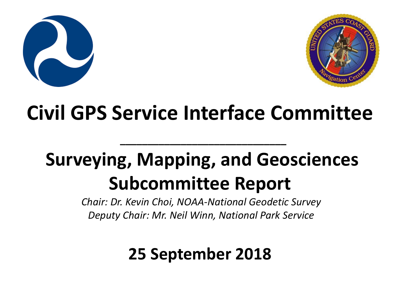



#### **Civil GPS Service Interface Committee**

#### **Surveying, Mapping, and Geosciences Subcommittee Report**

**\_\_\_\_\_\_\_\_\_\_\_\_\_\_\_\_\_\_\_\_\_\_\_\_\_\_\_\_\_\_**

*Chair: Dr. Kevin Choi, NOAA-National Geodetic Survey Deputy Chair: Mr. Neil Winn, National Park Service*

#### **25 September 2018**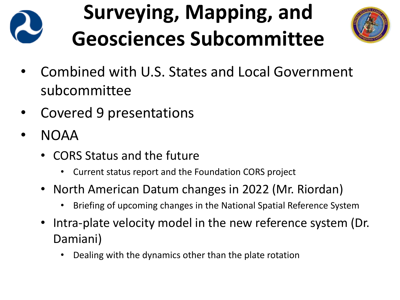

- Combined with U.S. States and Local Government subcommittee
- Covered 9 presentations
- NOAA
	- CORS Status and the future
		- Current status report and the Foundation CORS project
	- North American Datum changes in 2022 (Mr. Riordan)
		- Briefing of upcoming changes in the National Spatial Reference System
	- Intra-plate velocity model in the new reference system (Dr. Damiani)
		- Dealing with the dynamics other than the plate rotation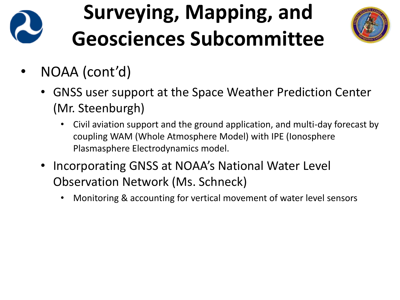

- NOAA (cont'd)
	- GNSS user support at the Space Weather Prediction Center (Mr. Steenburgh)
		- Civil aviation support and the ground application, and multi-day forecast by coupling WAM (Whole Atmosphere Model) with IPE (Ionosphere Plasmasphere Electrodynamics model.
	- Incorporating GNSS at NOAA's National Water Level Observation Network (Ms. Schneck)
		- Monitoring & accounting for vertical movement of water level sensors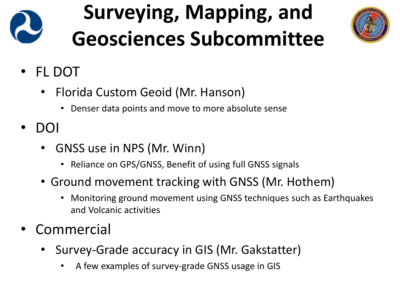

- FL DOT
	- Florida Custom Geoid (Mr. Hanson)
		- Denser data points and move to more absolute sense
- DOI
	- GNSS use in NPS (Mr. Winn)
		- Reliance on GPS/GNSS, Benefit of using full GNSS signals
	- Ground movement tracking with GNSS (Mr. Hothem)
		- Monitoring ground movement using GNSS techniques such as Earthquakes and Volcanic activities
- **Commercial** 
	- Survey-Grade accuracy in GIS (Mr. Gakstatter)
		- A few examples of survey-grade GNSS usage in GIS